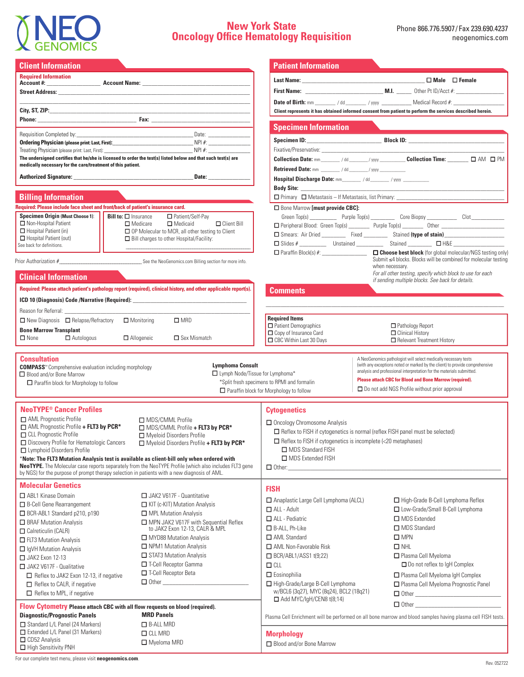

# **Oncology Office Hematology Requisition New York State Phone 866.776.5907/ Fax 239.690.4237**

**Client Information Patient Information Patient Information** 

| <b>Required Information</b>                                                                                                                                                  |  |  |  |  |
|------------------------------------------------------------------------------------------------------------------------------------------------------------------------------|--|--|--|--|
| <u> 1989 - Johann Stoff, amerikansk politiker (d. 1989)</u>                                                                                                                  |  |  |  |  |
|                                                                                                                                                                              |  |  |  |  |
|                                                                                                                                                                              |  |  |  |  |
|                                                                                                                                                                              |  |  |  |  |
| The undersigned certifies that he/she is licensed to order the test(s) listed below and that such test(s) are<br>medically necessary for the care/treatment of this patient. |  |  |  |  |
|                                                                                                                                                                              |  |  |  |  |

### **Billing Information**

| Required: Please include face sheet and front/back of patient's insurance card. |                                                  |                    |                    |  |  |  |  |
|---------------------------------------------------------------------------------|--------------------------------------------------|--------------------|--------------------|--|--|--|--|
| <b>Specimen Origin (Must Choose 1):</b>                                         | <b>Bill to:</b> $\square$ Insurance              | □ Patient/Self-Pay |                    |  |  |  |  |
| Non-Hospital Patient                                                            | $\Box$ Medicare                                  | $\Box$ Medicaid    | $\Box$ Client Bill |  |  |  |  |
| $\Box$ Hospital Patient (in)                                                    | OP Molecular to MCR, all other testing to Client |                    |                    |  |  |  |  |
| $\Box$ Hospital Patient (out)                                                   | Bill charges to other Hospital/Facility:         |                    |                    |  |  |  |  |
| See back for definitions.                                                       |                                                  |                    |                    |  |  |  |  |

Prior Authorization #\_\_\_\_\_\_\_\_\_\_\_\_\_\_\_\_\_\_\_\_\_\_\_\_\_\_\_\_\_\_\_\_\_\_\_\_\_ See the NeoGenomics.com Billing section for more info.

#### **Clinical Information**

| Required: Please attach patient's pathology report (required), clinical history, and other applicable report(s). |                                                |                   | <b>Comments</b>     |                                                            |                                                  |
|------------------------------------------------------------------------------------------------------------------|------------------------------------------------|-------------------|---------------------|------------------------------------------------------------|--------------------------------------------------|
| <b>ICD 10 (Diagnosis) Code /Narrative (Required):</b>                                                            |                                                |                   |                     |                                                            |                                                  |
| Reason for Referral:                                                                                             |                                                |                   |                     |                                                            |                                                  |
|                                                                                                                  | $\Box$ New Diagnosis $\Box$ Relapse/Refractory | □ Monitoring      | $\square$ MRD       | <b>Required Items</b><br>$\Box$ Patient Demographics       | Pathology Report                                 |
| <b>Bone Marrow Transplant</b><br>$\Box$ None                                                                     | $\Box$ Autologous                              | $\Box$ Allogeneic | $\Box$ Sex Mismatch | $\Box$ Copy of Insurance Card<br>□ CBC Within Last 30 Days | □ Clinical History<br>Relevant Treatment History |

# **Specimen Information Specimen ID:**\_\_\_\_\_\_\_\_\_\_\_\_\_\_\_\_\_\_\_\_\_\_\_\_\_ **Block ID:** \_\_\_\_\_\_\_\_\_\_\_\_\_\_\_\_\_\_\_\_\_\_\_\_\_\_\_\_\_\_\_\_ Fixative/Preservative: \_\_\_\_\_\_\_\_\_\_\_\_\_\_\_\_\_\_\_\_\_\_\_\_\_\_\_\_\_\_\_\_\_\_\_\_\_\_\_\_\_\_\_\_\_\_\_\_\_\_\_\_\_\_\_\_\_\_\_\_\_ **Collection Date:** mm\_\_\_\_\_\_\_\_ / dd \_\_\_\_\_\_\_\_ / yyyy \_\_\_\_\_\_\_\_\_\_\_ **Collection Time: \_\_\_\_\_\_\_ □** AM **□** PM **Retrieved Date:** mm \_\_\_\_\_\_\_ / dd \_\_\_\_\_\_\_/ yyyy \_\_\_\_\_\_\_\_\_\_ **Hospital Discharge Date: mm\_\_\_\_\_\_\_\_ / dd\_\_\_\_\_\_\_\_ / yyyy \_\_\_\_\_ Body Site: \_\_\_\_\_\_\_\_\_\_\_\_\_\_\_\_\_\_\_\_\_\_\_\_\_\_\_\_\_\_\_\_\_\_\_\_\_\_\_\_\_\_\_\_\_\_\_\_\_\_\_\_\_\_\_\_\_\_\_\_\_\_\_\_\_\_\_\_** □ Primary □ Metastasis – If Metastasis, list Primary: \_\_\_\_\_\_\_\_\_\_\_\_\_\_\_\_\_\_\_\_\_\_\_\_\_\_\_ **□** Bone Marrow **[must provide CBC]:** Green Top(s) \_\_\_\_\_\_\_\_\_\_\_\_\_\_ Purple Top(s) \_\_\_\_\_\_\_\_\_\_\_\_\_ Core Biopsy \_\_\_\_\_\_\_\_\_\_\_\_\_\_\_\_ Clot \_\_\_\_\_\_\_\_\_ □ Peripheral Blood: Green Top(s) \_\_\_\_\_\_\_\_\_\_\_\_ Purple Top(s) \_\_\_\_\_\_\_\_\_\_\_\_\_ Other \_\_\_\_\_ **□** Smears: Air Dried \_\_\_\_\_\_\_\_ Fixed \_\_\_\_\_\_\_\_ Stained **(type of stain)**\_\_\_\_\_\_\_\_\_\_\_\_\_\_\_\_\_\_\_\_ **□** Slides # \_\_\_\_\_\_\_\_\_ Unstained \_\_\_\_\_\_\_\_\_ Stained \_\_\_\_\_\_\_\_ **□** H&E \_\_\_\_\_\_\_\_\_\_\_\_\_\_\_\_\_ **□** Paraffin Block(s) #: \_\_\_\_\_\_\_\_\_\_\_\_\_\_\_ **□ Choose best block** (for global molecular/NGS testing only) **Last Name:** \_\_\_\_\_\_\_\_\_\_\_\_\_\_\_\_\_\_\_\_\_\_\_\_\_\_\_\_\_\_\_\_\_\_\_\_\_\_\_\_\_ **□ Male □ Female First Name:** \_\_\_\_\_\_\_\_\_\_\_\_\_\_\_\_\_\_\_\_\_\_\_\_\_\_ **M.I. \_\_\_\_\_** Other Pt ID/Acct #: \_\_\_\_\_\_\_\_\_\_\_\_\_\_\_\_ **Date of Birth:** mm \_\_\_\_\_\_\_\_ / dd \_\_\_\_\_\_\_\_ / yyyy \_\_\_\_\_\_\_\_\_\_ Medical Record #: \_\_\_\_\_\_\_\_\_\_\_\_\_\_\_\_\_ **Client represents it has obtained informed consent from patient to perform the services described herein.** Submit ≤4 blocks. Blocks will be combined for molecular testing when necessary. *For all other testing, specify which block to use for each if sending multiple blocks. See back for details.*

**□**Do not add NGS Profile without prior approval A NeoGenomics pathologist will select medically necessary tests (with any exceptions noted or marked by the client) to provide comprehensive analysis and professional interpretation for the materials submitted. **Please attach CBC for Blood and Bone Marrow (required). Consultation** □ Blood and/or Bone Marrow **□** Paraffin block for Morphology to follow **Lymphoma Consult**<br>□ Lymph Node/Tissue for Lymphoma\* \*Split fresh specimens to RPMI and formalin □ Paraffin block for Morphology to follow COMPASS<sup>™</sup> Comprehensive evaluation including morphology

| <b>NeoTYPE<sup>®</sup> Cancer Profiles</b>                                                                                                                                                                                                                                                                                                                                           |                                                                                                                                                                                                                                                                                                                                        | <b>Cytogenetics</b>                                                                                                                                                                                                                                                                                                                                 |                                                                                                                                                                                                                                                                                                                 |  |
|--------------------------------------------------------------------------------------------------------------------------------------------------------------------------------------------------------------------------------------------------------------------------------------------------------------------------------------------------------------------------------------|----------------------------------------------------------------------------------------------------------------------------------------------------------------------------------------------------------------------------------------------------------------------------------------------------------------------------------------|-----------------------------------------------------------------------------------------------------------------------------------------------------------------------------------------------------------------------------------------------------------------------------------------------------------------------------------------------------|-----------------------------------------------------------------------------------------------------------------------------------------------------------------------------------------------------------------------------------------------------------------------------------------------------------------|--|
| AML Prognostic Profile<br>$\Box$ AML Prognostic Profile + FLT3 by PCR*<br>□ CLL Prognostic Profile<br>□ Discovery Profile for Hematologic Cancers<br>□ Lymphoid Disorders Profile<br>*Note: The FLT3 Mutation Analysis test is available as client-bill only when ordered with<br>by NGS) for the purpose of prompt therapy selection in patients with a new diagnosis of AML.       | MDS/CMML Profile<br>$\Box$ MDS/CMML Profile + FLT3 by PCR*<br>Myeloid Disorders Profile<br>Myeloid Disorders Profile + FLT3 by PCR*<br>NeoTYPE. The Molecular case reports separately from the NeoTYPE Profile (which also includes FLT3 gene                                                                                          | $\Box$ Oncology Chromosome Analysis<br>$\Box$ Reflex to FISH if cytogenetics is normal (reflex FISH panel must be selected)<br>$\Box$ Reflex to FISH if cytogenetics is incomplete (<20 metaphases)<br>MDS Standard FISH<br>MDS Extended FISH<br>$\Box$ Other:                                                                                      |                                                                                                                                                                                                                                                                                                                 |  |
| <b>Molecular Genetics</b>                                                                                                                                                                                                                                                                                                                                                            |                                                                                                                                                                                                                                                                                                                                        | <b>FISH</b>                                                                                                                                                                                                                                                                                                                                         |                                                                                                                                                                                                                                                                                                                 |  |
| ABL1 Kinase Domain<br>B-Cell Gene Rearrangement<br>BCR-ABL1 Standard p210, p190<br>$\Box$ BRAF Mutation Analysis<br>Calreticulin (CALR)<br>$\Box$ FLT3 Mutation Analysis<br>$\Box$ IqVH Mutation Analysis<br>$\Box$ JAK2 Exon 12-13<br>JAK2 V617F - Qualitative<br>$\Box$ Reflex to JAK2 Exon 12-13, if negative<br>Reflex to CALR, if negative<br>$\Box$ Reflex to MPL, if negative | JAK2 V617F - Quantitative<br>$\Box$ KIT (c-KIT) Mutation Analysis<br>MPL Mutation Analysis<br>MPN JAK2 V617F with Sequential Reflex<br>to JAK2 Exon 12-13, CALR & MPL<br>MYD88 Mutation Analysis<br>NPM1 Mutation Analysis<br>$\Box$ STAT3 Mutation Analysis<br>T-Cell Receptor Gamma<br>□ T-Cell Receptor Beta<br>$\Box$ Other $\Box$ | Anaplastic Large Cell Lymphoma (ALCL)<br>$\Box$ ALL - Adult<br>$\Box$ ALL - Pediatric<br>$\Box$ B-ALL, Ph-Like<br>□ AML Standard<br>AML Non-Favorable Risk<br>$\Box$ BCR/ABL1/ASS1 t(9;22)<br>$\Box$ CLL<br>$\Box$ Eosinophilia<br>□ High-Grade/Large B-Cell Lymphoma<br>w/BCL6 (3q27), MYC (8q24), BCL2 (18q21)<br>$\Box$ Add MYC/IqH/CEN8 t(8;14) | □ High-Grade B-Cell Lymphoma Reflex<br>□ Low-Grade/Small B-Cell Lymphoma<br>$\Box$ MDS Extended<br>□ MDS Standard<br>$\square$ MPN<br>$\Box$ NHL<br>Plasma Cell Myeloma<br>□ Do not reflex to IgH Complex<br>□ Plasma Cell Myeloma IqH Complex<br>□ Plasma Cell Myeloma Prognostic Panel<br>$\Box$ Other $\Box$ |  |
| Flow Cytometry Please attach CBC with all flow requests on blood (required).<br><b>MRD Panels</b><br><b>Diagnostic/Prognostic Panels</b>                                                                                                                                                                                                                                             |                                                                                                                                                                                                                                                                                                                                        |                                                                                                                                                                                                                                                                                                                                                     | $\Box$ Other $\Box$<br>Plasma Cell Enrichment will be performed on all bone marrow and blood samples having plasma cell FISH tests.                                                                                                                                                                             |  |
| Standard L/L Panel (24 Markers)<br>Extended L/L Panel (31 Markers)<br>$\Box$ CD52 Analysis<br>$\Box$ High Sensitivity PNH                                                                                                                                                                                                                                                            | $\Box$ B-ALL MRD<br>$\Box$ CLL MRD<br>Myeloma MRD                                                                                                                                                                                                                                                                                      | <b>Morphology</b><br>□ Blood and/or Bone Marrow                                                                                                                                                                                                                                                                                                     |                                                                                                                                                                                                                                                                                                                 |  |